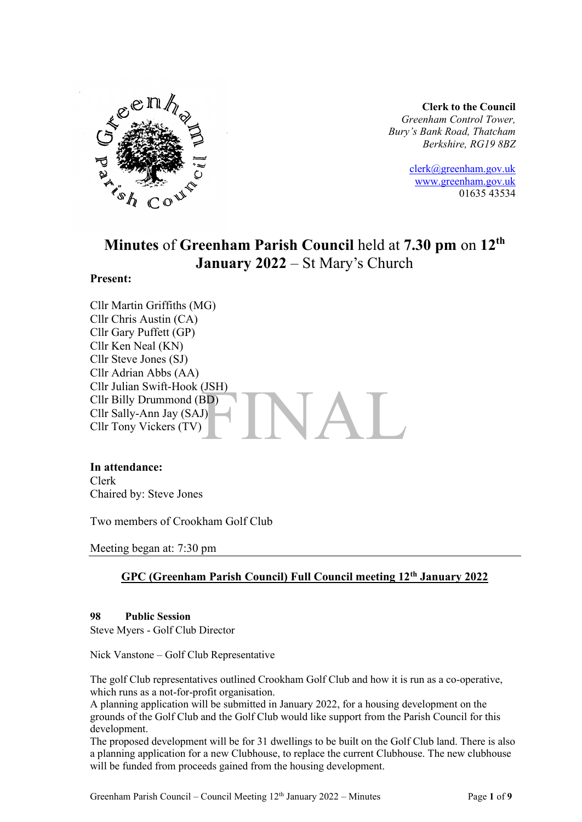

**Clerk to the Council** *Greenham Control Tower, Bury's Bank Road, Thatcham Berkshire, RG19 8BZ*

> [clerk@greenham.gov.uk](mailto:clerk@greenham.gov.uk) [www.greenham.gov.uk](http://www.greenham.gov.uk/) 01635 43534

# **Minutes** of **Greenham Parish Council** held at **7.30 pm** on **12th January 2022** – St Mary's Church

## **Present:**

 $A$ Cllr Martin Griffiths (MG) Cllr Chris Austin (CA) Cllr Gary Puffett (GP) Cllr Ken Neal (KN) Cllr Steve Jones (SJ) Cllr Adrian Abbs (AA) Cllr Julian Swift-Hook (JSH) Cllr Billy Drummond (BD) Cllr Sally-Ann Jay (SAJ) Cllr Tony Vickers (TV)

#### **In attendance:**

Clerk Chaired by: Steve Jones

Two members of Crookham Golf Club

Meeting began at: 7:30 pm

# **GPC (Greenham Parish Council) Full Council meeting 12th January 2022**

#### **98 Public Session**

Steve Myers - Golf Club Director

Nick Vanstone – Golf Club Representative

The golf Club representatives outlined Crookham Golf Club and how it is run as a co-operative, which runs as a not-for-profit organisation.

A planning application will be submitted in January 2022, for a housing development on the grounds of the Golf Club and the Golf Club would like support from the Parish Council for this development.

The proposed development will be for 31 dwellings to be built on the Golf Club land. There is also a planning application for a new Clubhouse, to replace the current Clubhouse. The new clubhouse will be funded from proceeds gained from the housing development.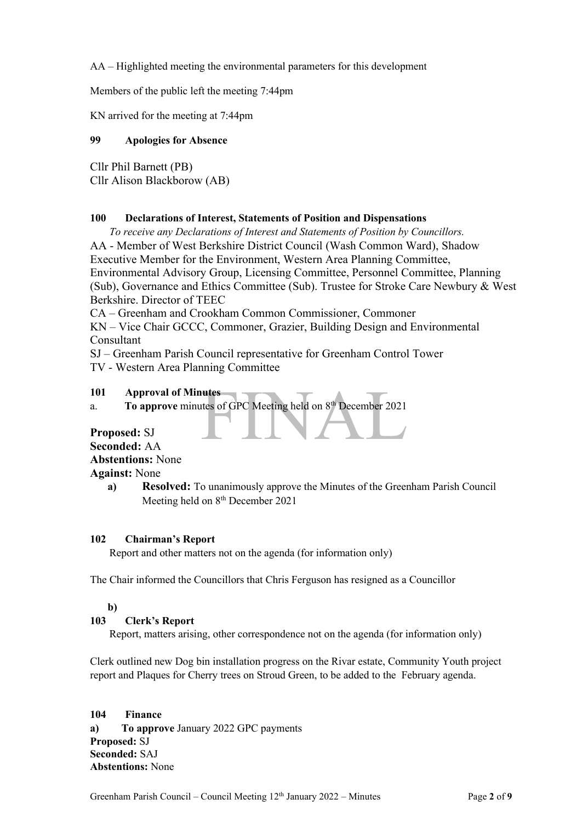AA – Highlighted meeting the environmental parameters for this development

Members of the public left the meeting 7:44pm

KN arrived for the meeting at 7:44pm

## **99 Apologies for Absence**

Cllr Phil Barnett (PB) Cllr Alison Blackborow (AB)

## **100 Declarations of Interest, Statements of Position and Dispensations**

*To receive any Declarations of Interest and Statements of Position by Councillors.* 

AA - Member of West Berkshire District Council (Wash Common Ward), Shadow Executive Member for the Environment, Western Area Planning Committee, Environmental Advisory Group, Licensing Committee, Personnel Committee, Planning (Sub), Governance and Ethics Committee (Sub). Trustee for Stroke Care Newbury & West Berkshire. Director of TEEC

CA – Greenham and Crookham Common Commissioner, Commoner

KN – Vice Chair GCCC, Commoner, Grazier, Building Design and Environmental Consultant

SJ – Greenham Parish Council representative for Greenham Control Tower

TV - Western Area Planning Committee

## **101 Approval of Minutes**

utes<br>Ites of GPC Meeting held on 8<sup>th</sup> December 2021 a. **To approve** minutes of GPC Meeting held on 8<sup>th</sup> December 2021

**Proposed:** SJ **Seconded:** AA **Abstentions:** None **Against:** None

## **102 Chairman's Report**

Report and other matters not on the agenda (for information only)

The Chair informed the Councillors that Chris Ferguson has resigned as a Councillor

# **b)**

# **103 Clerk's Report**

Report, matters arising, other correspondence not on the agenda (for information only)

Clerk outlined new Dog bin installation progress on the Rivar estate, Community Youth project report and Plaques for Cherry trees on Stroud Green, to be added to the February agenda.

**104 Finance a) To approve** January 2022 GPC payments **Proposed:** SJ **Seconded:** SAJ **Abstentions:** None

**a) Resolved:** To unanimously approve the Minutes of the Greenham Parish Council Meeting held on 8<sup>th</sup> December 2021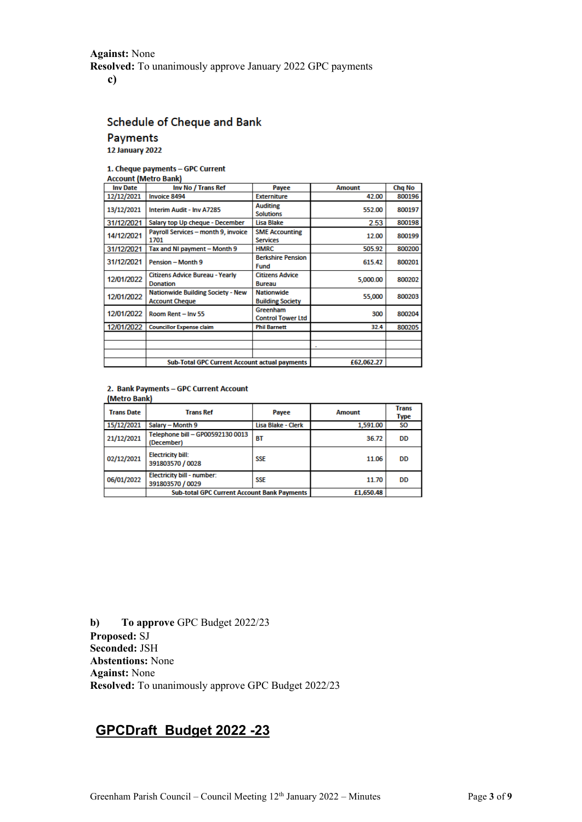# **Against:** None **Resolved:** To unanimously approve January 2022 GPC payments

**c)**

# Schedule of Cheque and Bank Payments

12 January 2022

#### 1. Cheque payments - GPC Current

| <b>Account (Metro Bank)</b> |                                                                   |                                              |               |        |  |
|-----------------------------|-------------------------------------------------------------------|----------------------------------------------|---------------|--------|--|
| <b>Inv Date</b>             | Inv No / Trans Ref                                                | Payee                                        | <b>Amount</b> | Chg No |  |
| 12/12/2021                  | <b>Invoice 8494</b>                                               | <b>Externiture</b>                           | 42.00         | 800196 |  |
| 13/12/2021                  | Interim Audit - Inv A7285                                         | <b>Auditing</b><br><b>Solutions</b>          | 552.00        | 800197 |  |
| 31/12/2021                  | Salary top Up cheque - December                                   | Lisa Blake                                   | 2.53          | 800198 |  |
| 14/12/2021                  | Payroll Services - month 9, invoice<br>1701                       | <b>SME Accounting</b><br><b>Services</b>     | 12.00         |        |  |
| 31/12/2021                  | Tax and NI payment - Month 9                                      | <b>HMRC</b>                                  | 505.92        | 800200 |  |
| 31/12/2021                  | Pension - Month 9                                                 | <b>Berkshire Pension</b><br>615.42<br>Fund   |               | 800201 |  |
| 12/01/2022                  | <b>Citizens Advice Bureau - Yearly</b><br><b>Donation</b>         | <b>Citizens Advice</b><br><b>Bureau</b>      | 5,000.00      | 800202 |  |
| 12/01/2022                  | <b>Nationwide Building Society - New</b><br><b>Account Cheque</b> | <b>Nationwide</b><br><b>Building Society</b> | 55,000        | 800203 |  |
| 12/01/2022                  | Room Rent - Inv 55                                                | Greenham<br><b>Control Tower Ltd</b>         | 300           | 800204 |  |
| 12/01/2022                  | <b>Councillor Expense claim</b>                                   | <b>Phil Barnett</b>                          | 32.4          | 800205 |  |
|                             |                                                                   |                                              |               |        |  |
|                             |                                                                   |                                              |               |        |  |
|                             | <b>Sub-Total GPC Current Account actual payments</b>              | £62,062.27                                   |               |        |  |

# (Metro Bank)

| 2. Bank Payments - GPC Current Account<br>(Metro Bank) |                                                       |                    |               |                             |
|--------------------------------------------------------|-------------------------------------------------------|--------------------|---------------|-----------------------------|
| <b>Trans Date</b>                                      | <b>Trans Ref</b>                                      | Payee              | <b>Amount</b> | <b>Trans</b><br><b>Type</b> |
| 15/12/2021                                             | Salary - Month 9                                      | Lisa Blake - Clerk | 1,591.00      | SO.                         |
| 21/12/2021                                             | Telephone bill - GP00592130 0013<br>(December)        | <b>BT</b>          | 36.72         | <b>DD</b>                   |
| 02/12/2021                                             | <b>Electricity bill:</b><br>391803570 / 0028          | <b>SSE</b>         | 11.06         | DD                          |
| 06/01/2022                                             | <b>Electricity bill - number:</b><br>391803570 / 0029 | <b>SSE</b>         | 11.70         | DD                          |
|                                                        | <b>Sub-total GPC Current Account Bank Payments</b>    |                    | £1.650.48     |                             |

**b) To approve** GPC Budget 2022/23 **Proposed:** SJ **Seconded:** JSH **Abstentions:** None **Against:** None **Resolved:** To unanimously approve GPC Budget 2022/23

# **GPCDraft Budget 2022 -23**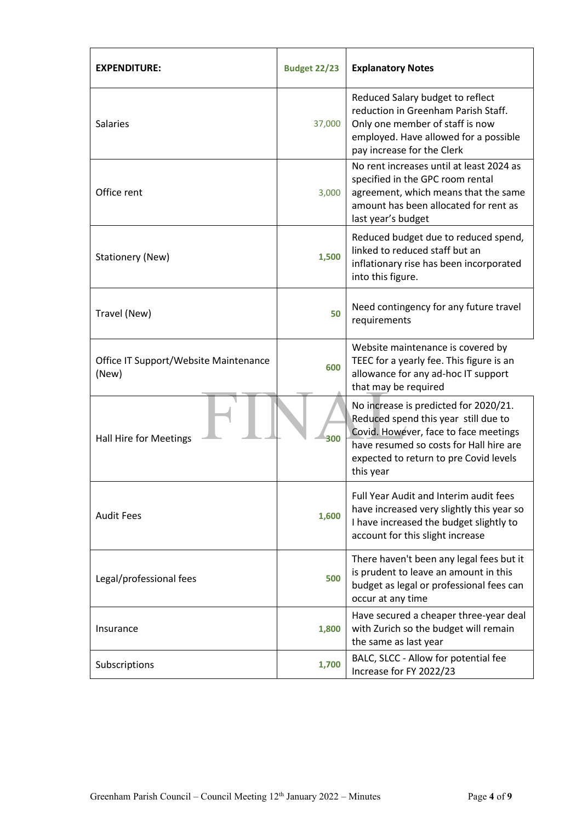| <b>EXPENDITURE:</b>                            | <b>Budget 22/23</b> | <b>Explanatory Notes</b>                                                                                                                                                                                                 |  |
|------------------------------------------------|---------------------|--------------------------------------------------------------------------------------------------------------------------------------------------------------------------------------------------------------------------|--|
| <b>Salaries</b>                                | 37,000              | Reduced Salary budget to reflect<br>reduction in Greenham Parish Staff.<br>Only one member of staff is now<br>employed. Have allowed for a possible<br>pay increase for the Clerk                                        |  |
| Office rent                                    | 3,000               | No rent increases until at least 2024 as<br>specified in the GPC room rental<br>agreement, which means that the same<br>amount has been allocated for rent as<br>last year's budget                                      |  |
| Stationery (New)                               | 1,500               | Reduced budget due to reduced spend,<br>linked to reduced staff but an<br>inflationary rise has been incorporated<br>into this figure.                                                                                   |  |
| Travel (New)                                   | 50                  | Need contingency for any future travel<br>requirements                                                                                                                                                                   |  |
| Office IT Support/Website Maintenance<br>(New) | 600                 | Website maintenance is covered by<br>TEEC for a yearly fee. This figure is an<br>allowance for any ad-hoc IT support<br>that may be required                                                                             |  |
| <b>Hall Hire for Meetings</b>                  | 300                 | No increase is predicted for 2020/21.<br>Reduced spend this year still due to<br>Covid. However, face to face meetings<br>have resumed so costs for Hall hire are<br>expected to return to pre Covid levels<br>this year |  |
| <b>Audit Fees</b>                              | 1,600               | Full Year Audit and Interim audit fees<br>have increased very slightly this year so<br>I have increased the budget slightly to<br>account for this slight increase                                                       |  |
| Legal/professional fees                        | 500                 | There haven't been any legal fees but it<br>is prudent to leave an amount in this<br>budget as legal or professional fees can<br>occur at any time                                                                       |  |
| Insurance                                      | 1,800               | Have secured a cheaper three-year deal<br>with Zurich so the budget will remain<br>the same as last year                                                                                                                 |  |
| Subscriptions                                  | 1,700               | BALC, SLCC - Allow for potential fee<br>Increase for FY 2022/23                                                                                                                                                          |  |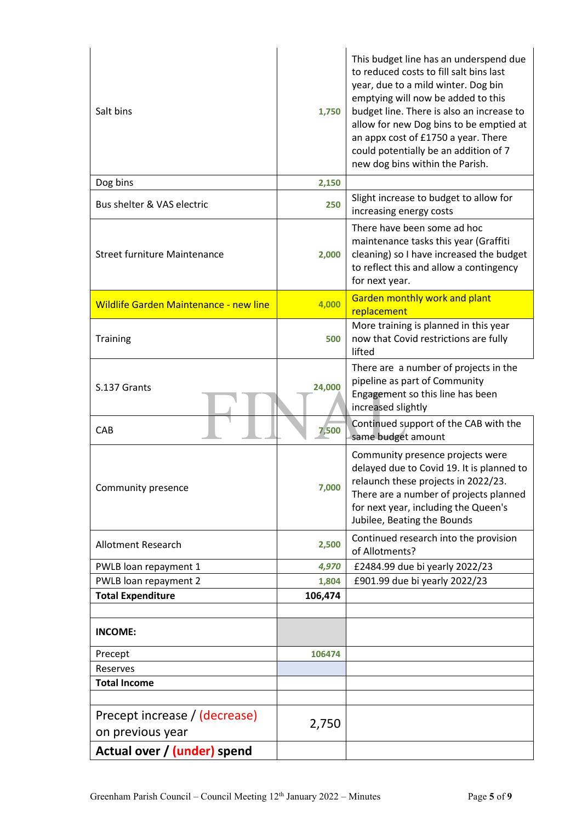| Salt bins                                         | 1,750   | This budget line has an underspend due<br>to reduced costs to fill salt bins last<br>year, due to a mild winter. Dog bin<br>emptying will now be added to this<br>budget line. There is also an increase to<br>allow for new Dog bins to be emptied at<br>an appx cost of £1750 a year. There<br>could potentially be an addition of 7<br>new dog bins within the Parish. |
|---------------------------------------------------|---------|---------------------------------------------------------------------------------------------------------------------------------------------------------------------------------------------------------------------------------------------------------------------------------------------------------------------------------------------------------------------------|
| Dog bins                                          | 2,150   |                                                                                                                                                                                                                                                                                                                                                                           |
| Bus shelter & VAS electric                        | 250     | Slight increase to budget to allow for<br>increasing energy costs                                                                                                                                                                                                                                                                                                         |
| <b>Street furniture Maintenance</b>               | 2,000   | There have been some ad hoc<br>maintenance tasks this year (Graffiti<br>cleaning) so I have increased the budget<br>to reflect this and allow a contingency<br>for next year.                                                                                                                                                                                             |
| <b>Wildlife Garden Maintenance - new line</b>     | 4,000   | Garden monthly work and plant<br>replacement                                                                                                                                                                                                                                                                                                                              |
| <b>Training</b>                                   | 500     | More training is planned in this year<br>now that Covid restrictions are fully<br>lifted                                                                                                                                                                                                                                                                                  |
| S.137 Grants                                      | 24,000  | There are a number of projects in the<br>pipeline as part of Community<br>Engagement so this line has been<br>increased slightly                                                                                                                                                                                                                                          |
| CAB                                               | 7,500   | Continued support of the CAB with the<br>same budget amount                                                                                                                                                                                                                                                                                                               |
| Community presence                                | 7,000   | Community presence projects were<br>delayed due to Covid 19. It is planned to<br>relaunch these projects in 2022/23.<br>There are a number of projects planned<br>for next year, including the Queen's<br>Jubilee, Beating the Bounds                                                                                                                                     |
| <b>Allotment Research</b>                         | 2,500   | Continued research into the provision<br>of Allotments?                                                                                                                                                                                                                                                                                                                   |
| PWLB loan repayment 1                             | 4,970   | £2484.99 due bi yearly 2022/23                                                                                                                                                                                                                                                                                                                                            |
| PWLB loan repayment 2                             | 1,804   | £901.99 due bi yearly 2022/23                                                                                                                                                                                                                                                                                                                                             |
| <b>Total Expenditure</b>                          | 106,474 |                                                                                                                                                                                                                                                                                                                                                                           |
| <b>INCOME:</b>                                    |         |                                                                                                                                                                                                                                                                                                                                                                           |
| Precept                                           | 106474  |                                                                                                                                                                                                                                                                                                                                                                           |
| Reserves                                          |         |                                                                                                                                                                                                                                                                                                                                                                           |
| <b>Total Income</b>                               |         |                                                                                                                                                                                                                                                                                                                                                                           |
| Precept increase / (decrease)<br>on previous year | 2,750   |                                                                                                                                                                                                                                                                                                                                                                           |
| Actual over / (under) spend                       |         |                                                                                                                                                                                                                                                                                                                                                                           |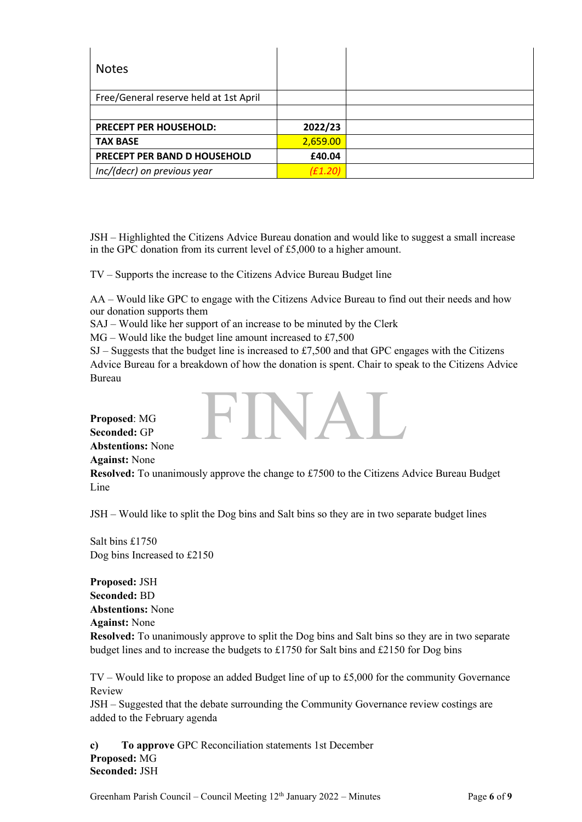| <b>Notes</b>                           |          |  |
|----------------------------------------|----------|--|
| Free/General reserve held at 1st April |          |  |
|                                        |          |  |
| <b>PRECEPT PER HOUSEHOLD:</b>          | 2022/23  |  |
| <b>TAX BASE</b>                        | 2,659.00 |  |
| PRECEPT PER BAND D HOUSEHOLD           | £40.04   |  |
| Inc/(decr) on previous year            | (E1.20)  |  |

JSH – Highlighted the Citizens Advice Bureau donation and would like to suggest a small increase in the GPC donation from its current level of £5,000 to a higher amount.

TV – Supports the increase to the Citizens Advice Bureau Budget line

AA – Would like GPC to engage with the Citizens Advice Bureau to find out their needs and how our donation supports them

SAJ – Would like her support of an increase to be minuted by the Clerk

 $MG - Would like the budget line amount increased to £7,500$ 

SJ – Suggests that the budget line is increased to £7,500 and that GPC engages with the Citizens Advice Bureau for a breakdown of how the donation is spent. Chair to speak to the Citizens Advice Bureau

FINAL

**Proposed**: MG **Seconded:** GP **Abstentions:** None **Against:** None

**Resolved:** To unanimously approve the change to £7500 to the Citizens Advice Bureau Budget Line

JSH – Would like to split the Dog bins and Salt bins so they are in two separate budget lines

Salt bins £1750 Dog bins Increased to £2150

**Proposed:** JSH **Seconded:** BD **Abstentions:** None **Against:** None **Resolved:** To unanimously approve to split the Dog bins and Salt bins so they are in two separate budget lines and to increase the budgets to £1750 for Salt bins and £2150 for Dog bins

TV – Would like to propose an added Budget line of up to £5,000 for the community Governance Review

JSH – Suggested that the debate surrounding the Community Governance review costings are added to the February agenda

**c) To approve** GPC Reconciliation statements 1st December **Proposed:** MG **Seconded:** JSH

Greenham Parish Council – Council Meeting 12<sup>th</sup> January 2022 – Minutes Page 6 of 9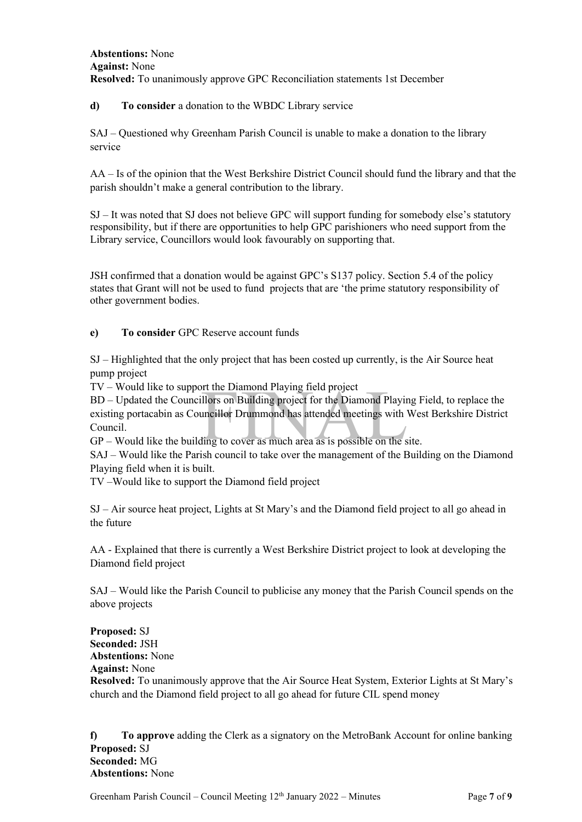## **Abstentions:** None **Against:** None **Resolved:** To unanimously approve GPC Reconciliation statements 1st December

## **d) To consider** a donation to the WBDC Library service

SAJ – Questioned why Greenham Parish Council is unable to make a donation to the library service

AA – Is of the opinion that the West Berkshire District Council should fund the library and that the parish shouldn't make a general contribution to the library.

SJ – It was noted that SJ does not believe GPC will support funding for somebody else's statutory responsibility, but if there are opportunities to help GPC parishioners who need support from the Library service, Councillors would look favourably on supporting that.

JSH confirmed that a donation would be against GPC's S137 policy. Section 5.4 of the policy states that Grant will not be used to fund projects that are 'the prime statutory responsibility of other government bodies.

## **e) To consider** GPC Reserve account funds

SJ – Highlighted that the only project that has been costed up currently, is the Air Source heat pump project

TV – Would like to support the Diamond Playing field project

International Playing field project<br>Illors on Building project for the Diamond Playin<br>Incillor Drummond has attended meetings with<br>International and a state of the state of the state of the state of the state of the state BD – Updated the Councillors on Building project for the Diamond Playing Field, to replace the existing portacabin as Councillor Drummond has attended meetings with West Berkshire District Council.

GP – Would like the building to cover as much area as is possible on the site.

SAJ – Would like the Parish council to take over the management of the Building on the Diamond Playing field when it is built.

TV –Would like to support the Diamond field project

SJ – Air source heat project, Lights at St Mary's and the Diamond field project to all go ahead in the future

AA - Explained that there is currently a West Berkshire District project to look at developing the Diamond field project

SAJ – Would like the Parish Council to publicise any money that the Parish Council spends on the above projects

**Proposed:** SJ **Seconded:** JSH **Abstentions:** None **Against:** None

**Resolved:** To unanimously approve that the Air Source Heat System, Exterior Lights at St Mary's church and the Diamond field project to all go ahead for future CIL spend money

**f) To approve** adding the Clerk as a signatory on the MetroBank Account for online banking **Proposed:** SJ **Seconded:** MG **Abstentions:** None

Greenham Parish Council – Council Meeting 12th January 2022 – Minutes Page **7** of **9**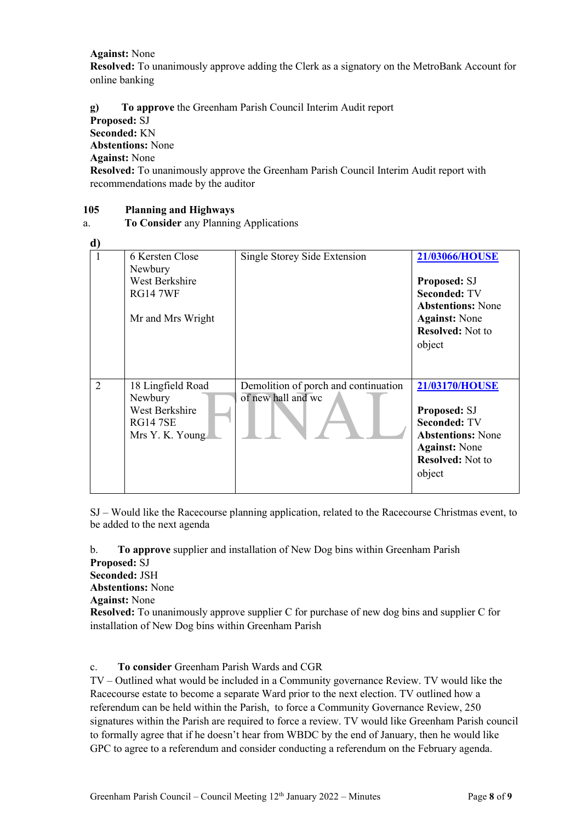**Against:** None

**Resolved:** To unanimously approve adding the Clerk as a signatory on the MetroBank Account for online banking

**g) To approve** the Greenham Parish Council Interim Audit report

**Proposed:** SJ

**Seconded:** KN

**Abstentions:** None

**Against:** None

**Resolved:** To unanimously approve the Greenham Parish Council Interim Audit report with recommendations made by the auditor

## **105 Planning and Highways**

## a. **To Consider** any Planning Applications

| ď              |                                                                                      |                                                            |                                                                                                                                                       |
|----------------|--------------------------------------------------------------------------------------|------------------------------------------------------------|-------------------------------------------------------------------------------------------------------------------------------------------------------|
| 1              | 6 Kersten Close<br>Newbury<br>West Berkshire<br><b>RG14 7WF</b><br>Mr and Mrs Wright | Single Storey Side Extension                               | 21/03066/HOUSE<br><b>Proposed: SJ</b><br><b>Seconded: TV</b><br><b>Abstentions: None</b><br><b>Against:</b> None<br><b>Resolved:</b> Not to<br>object |
| $\overline{2}$ | 18 Lingfield Road<br>Newbury<br>West Berkshire<br><b>RG14 7SE</b><br>Mrs Y. K. Young | Demolition of porch and continuation<br>of new hall and wc | <b>21/03170/HOUSE</b><br>Proposed: SJ<br><b>Seconded: TV</b><br><b>Abstentions: None</b><br><b>Against: None</b><br><b>Resolved:</b> Not to<br>object |

SJ – Would like the Racecourse planning application, related to the Racecourse Christmas event, to be added to the next agenda

b. **To approve** supplier and installation of New Dog bins within Greenham Parish **Proposed:** SJ

**Seconded:** JSH

**Abstentions:** None

**Against:** None

**Resolved:** To unanimously approve supplier C for purchase of new dog bins and supplier C for installation of New Dog bins within Greenham Parish

c. **To consider** Greenham Parish Wards and CGR

TV – Outlined what would be included in a Community governance Review. TV would like the Racecourse estate to become a separate Ward prior to the next election. TV outlined how a referendum can be held within the Parish, to force a Community Governance Review, 250 signatures within the Parish are required to force a review. TV would like Greenham Parish council to formally agree that if he doesn't hear from WBDC by the end of January, then he would like GPC to agree to a referendum and consider conducting a referendum on the February agenda.